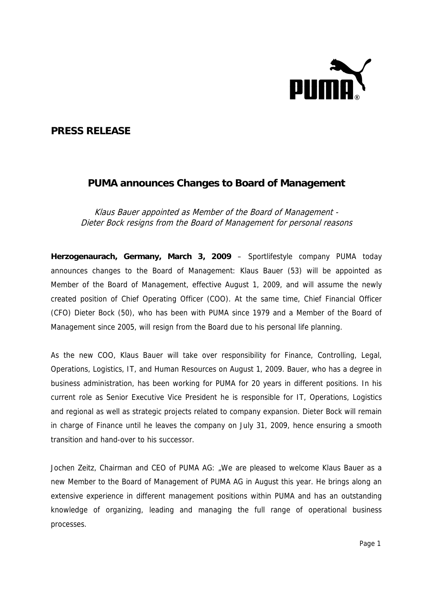

## **PRESS RELEASE**

## **PUMA announces Changes to Board of Management**

Klaus Bauer appointed as Member of the Board of Management - Dieter Bock resigns from the Board of Management for personal reasons

**Herzogenaurach, Germany, March 3, 2009** – Sportlifestyle company PUMA today announces changes to the Board of Management: Klaus Bauer (53) will be appointed as Member of the Board of Management, effective August 1, 2009, and will assume the newly created position of Chief Operating Officer (COO). At the same time, Chief Financial Officer (CFO) Dieter Bock (50), who has been with PUMA since 1979 and a Member of the Board of Management since 2005, will resign from the Board due to his personal life planning.

As the new COO, Klaus Bauer will take over responsibility for Finance, Controlling, Legal, Operations, Logistics, IT, and Human Resources on August 1, 2009. Bauer, who has a degree in business administration, has been working for PUMA for 20 years in different positions. In his current role as Senior Executive Vice President he is responsible for IT, Operations, Logistics and regional as well as strategic projects related to company expansion. Dieter Bock will remain in charge of Finance until he leaves the company on July 31, 2009, hence ensuring a smooth transition and hand-over to his successor.

Jochen Zeitz, Chairman and CEO of PUMA AG: "We are pleased to welcome Klaus Bauer as a new Member to the Board of Management of PUMA AG in August this year. He brings along an extensive experience in different management positions within PUMA and has an outstanding knowledge of organizing, leading and managing the full range of operational business processes.